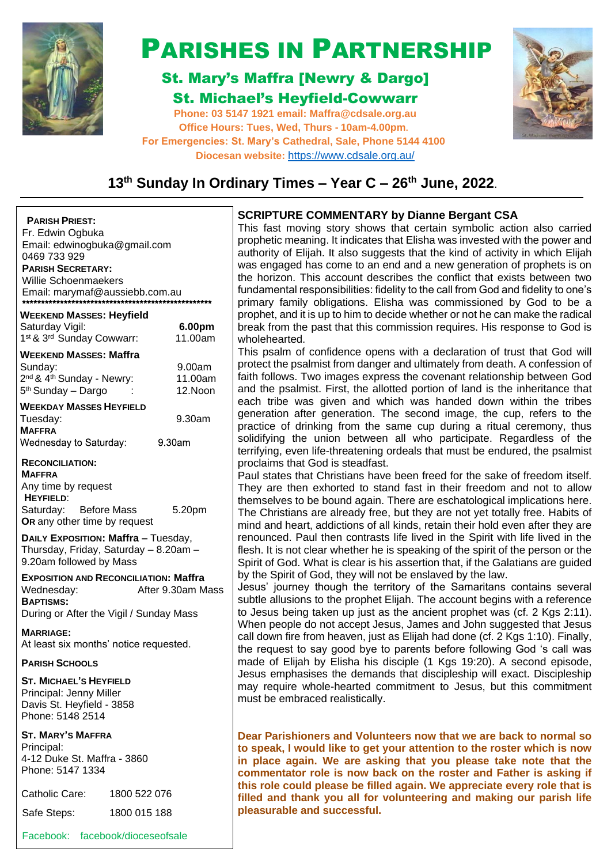

# PARISHES IN PARTNERSHIP

# St. Mary's Maffra [Newry & Dargo] St. Michael's Heyfield-Cowwarr

**Phone: 03 5147 1921 email: [Maffra@cdsale.org.au](about:blank) Office Hours: Tues, Wed, Thurs - 10am-4.00pm. For Emergencies: St. Mary's Cathedral, Sale, Phone 5144 4100 Diocesan website:** https:/[/www.cdsale.org.au/](about:blank)



# **13th Sunday In Ordinary Times – Year C – 26th June, 2022**.

### **PARISH PRIEST:**

Fr. Edwin Ogbuka Email: [edwinogbuka@gmail.com](about:blank) 0469 733 929 **PARISH SECRETARY:** Willie Schoenmaekers Email: [marymaf@aussiebb.com.au](about:blank)

| <b>WEEKEND MASSES: Heyfield</b><br>Saturday Vigil:<br>1st & 3rd Sunday Cowwarr:                                                             | 6.00pm<br>11.00am            |
|---------------------------------------------------------------------------------------------------------------------------------------------|------------------------------|
| <b>WEEKEND MASSES: Maffra</b><br>Sunday:<br>2 <sup>nd</sup> & 4 <sup>th</sup> Sunday - Newry:<br>5 <sup>th</sup> Sunday - Dargo             | 9.00am<br>11.00am<br>12.Noon |
| <b>WEEKDAY MASSES HEYFIELD</b><br>Tuesday:<br><b>MAFFRA</b><br>Wednesday to Saturday:                                                       | 9.30am<br>9.30am             |
| <b>RECONCILIATION:</b><br><b>MAFFRA</b><br>Any time by request<br><b>HEYFIELD:</b><br>Saturday: Before Mass<br>OR any other time by request | 5.20pm                       |
| DAILY EXPOSITION: Maffra - Tuesday,                                                                                                         |                              |

Thursday, Friday, Saturday – 8.20am – 9.20am followed by Mass

**EXPOSITION AND RECONCILIATION: Maffra** Wednesday: <br>
After 9.30am Mass **BAPTISMS:** During or After the Vigil / Sunday Mass

**MARRIAGE:** At least six months' notice requested.

# **PARISH SCHOOLS**

**ST. MICHAEL'S HEYFIELD** Principal: Jenny Miller Davis St. Heyfield - 3858 Phone: 5148 2514

# **ST. MARY'S MAFFRA**

Principal: 4-12 Duke St. Maffra - 3860 Phone: 5147 1334

| Catholic Care: | 1800 522 076 |
|----------------|--------------|
| Safe Steps:    | 1800 015 188 |

Facebook: facebook/dioceseofsale

# **SCRIPTURE COMMENTARY by Dianne Bergant CSA**

This fast moving story shows that certain symbolic action also carried prophetic meaning. It indicates that Elisha was invested with the power and authority of Elijah. It also suggests that the kind of activity in which Elijah was engaged has come to an end and a new generation of prophets is on the horizon. This account describes the conflict that exists between two fundamental responsibilities: fidelity to the call from God and fidelity to one's primary family obligations. Elisha was commissioned by God to be a prophet, and it is up to him to decide whether or not he can make the radical break from the past that this commission requires. His response to God is wholehearted.

This psalm of confidence opens with a declaration of trust that God will protect the psalmist from danger and ultimately from death. A confession of faith follows. Two images express the covenant relationship between God and the psalmist. First, the allotted portion of land is the inheritance that each tribe was given and which was handed down within the tribes generation after generation. The second image, the cup, refers to the practice of drinking from the same cup during a ritual ceremony, thus solidifying the union between all who participate. Regardless of the terrifying, even life-threatening ordeals that must be endured, the psalmist proclaims that God is steadfast.

Paul states that Christians have been freed for the sake of freedom itself. They are then exhorted to stand fast in their freedom and not to allow themselves to be bound again. There are eschatological implications here. The Christians are already free, but they are not yet totally free. Habits of mind and heart, addictions of all kinds, retain their hold even after they are renounced. Paul then contrasts life lived in the Spirit with life lived in the flesh. It is not clear whether he is speaking of the spirit of the person or the Spirit of God. What is clear is his assertion that, if the Galatians are guided by the Spirit of God, they will not be enslaved by the law.

Jesus' journey though the territory of the Samaritans contains several subtle allusions to the prophet Elijah. The account begins with a reference to Jesus being taken up just as the ancient prophet was (cf. 2 Kgs 2:11). When people do not accept Jesus, James and John suggested that Jesus call down fire from heaven, just as Elijah had done (cf. 2 Kgs 1:10). Finally, the request to say good bye to parents before following God 's call was made of Elijah by Elisha his disciple (1 Kgs 19:20). A second episode, Jesus emphasises the demands that discipleship will exact. Discipleship may require whole-hearted commitment to Jesus, but this commitment must be embraced realistically.

**Dear Parishioners and Volunteers now that we are back to normal so to speak, I would like to get your attention to the roster which is now in place again. We are asking that you please take note that the commentator role is now back on the roster and Father is asking if this role could please be filled again. We appreciate every role that is filled and thank you all for volunteering and making our parish life pleasurable and successful.**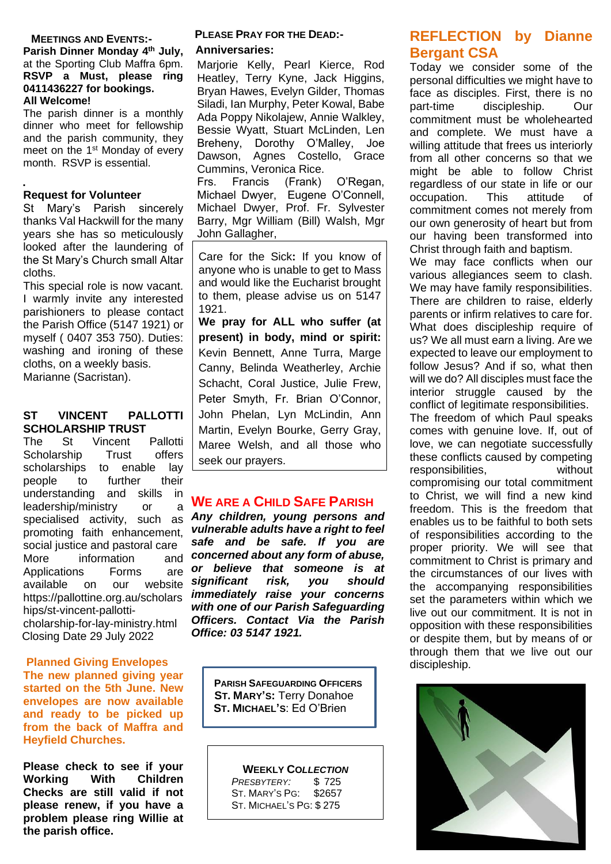## **MEETINGS AND EVENTS:-**

**Parish Dinner Monday 4 th July,**  at the Sporting Club Maffra 6pm. **RSVP a Must, please ring 0411436227 for bookings. All Welcome!**

The parish dinner is a monthly dinner who meet for fellowship and the parish community, they meet on the 1<sup>st</sup> Monday of every month. RSVP is essential.

#### **. Request for Volunteer**

St Mary's Parish sincerely thanks Val Hackwill for the many years she has so meticulously looked after the laundering of the St Mary's Church small Altar cloths.

This special role is now vacant. I warmly invite any interested parishioners to please contact the Parish Office (5147 1921) or myself ( 0407 353 750). Duties: washing and ironing of these cloths, on a weekly basis. Marianne (Sacristan).

#### **ST VINCENT PALLOTTI SCHOLARSHIP TRUST**

The St Vincent Pallotti Scholarship Trust offers scholarships to enable lay people to further their understanding and skills in leadership/ministry or a specialised activity, such as promoting faith enhancement, social justice and pastoral care More information Applications Forms are available on our website [https://pallottine.org.au/scholars](https://pallottine.org.au/scholarships/st-vincent-pallotti-) [hips/st-vincent-pallotti](https://pallottine.org.au/scholarships/st-vincent-pallotti-)cholarship-for-lay-ministry.html Closing Date 29 July 2022

#### **Planned Giving Envelopes The new planned giving year started on the 5th June. New envelopes are now available and ready to be picked up from the back of Maffra and Heyfield Churches.**

**Please check to see if your Working With Children Checks are still valid if not please renew, if you have a problem please ring Willie at the parish office.**

# **PLEASE PRAY FOR THE DEAD:-**

#### **Anniversaries:**

Marjorie Kelly, Pearl Kierce, Rod Heatley, Terry Kyne, Jack Higgins, Bryan Hawes, Evelyn Gilder, Thomas Siladi, Ian Murphy, Peter Kowal, Babe Ada Poppy Nikolajew, Annie Walkley, Bessie Wyatt, Stuart McLinden, Len Breheny, Dorothy O'Malley, Joe Dawson, Agnes Costello, Grace Cummins, Veronica Rice.

Frs. Francis (Frank) O'Regan, Michael Dwyer, Eugene O'Connell, Michael Dwyer, Prof. Fr. Sylvester Barry, Mgr William (Bill) Walsh, Mgr John Gallagher,

Care for the Sick**:** If you know of anyone who is unable to get to Mass and would like the Eucharist brought to them, please advise us on 5147 1921.

**We pray for ALL who suffer (at present) in body, mind or spirit:**  Kevin Bennett, Anne Turra, Marge Canny, Belinda Weatherley, Archie Schacht, Coral Justice, Julie Frew, Peter Smyth, Fr. Brian O'Connor, John Phelan, Lyn McLindin, Ann Martin, Evelyn Bourke, Gerry Gray, Maree Welsh, and all those who seek our prayers.

# **WE ARE A CHILD SAFE PARISH**

*Any children, young persons and vulnerable adults have a right to feel safe and be safe. If you are concerned about any form of abuse, or believe that someone is at significant risk, you should immediately raise your concerns with one of our Parish Safeguarding Officers. Contact Via the Parish Office: 03 5147 1921.*

> **PARISH SAFEGUARDING OFFICERS ST. MARY'S:** Terry Donahoe  **ST. MICHAEL'S**: Ed O'Brien

**WEEKLY CO***LLECTION PRESBYTERY:* \$ 725 ST. MARY'S PG: \$2657 ST. MICHAEL'S PG: \$ 275

# **REFLECTION by Dianne Bergant CSA**

Today we consider some of the personal difficulties we might have to face as disciples. First, there is no part-time discipleship. Our commitment must be wholehearted and complete. We must have a willing attitude that frees us interiorly from all other concerns so that we might be able to follow Christ regardless of our state in life or our<br>occupation. This attitude of occupation. This attitude of commitment comes not merely from our own generosity of heart but from our having been transformed into Christ through faith and baptism.

We may face conflicts when our various allegiances seem to clash. We may have family responsibilities. There are children to raise, elderly parents or infirm relatives to care for. What does discipleship require of us? We all must earn a living. Are we expected to leave our employment to follow Jesus? And if so, what then will we do? All disciples must face the interior struggle caused by the conflict of legitimate responsibilities. The freedom of which Paul speaks comes with genuine love. If, out of love, we can negotiate successfully these conflicts caused by competing responsibilities, without compromising our total commitment to Christ, we will find a new kind freedom. This is the freedom that enables us to be faithful to both sets of responsibilities according to the proper priority. We will see that commitment to Christ is primary and the circumstances of our lives with the accompanying responsibilities set the parameters within which we live out our commitment. It is not in opposition with these responsibilities or despite them, but by means of or through them that we live out our discipleship.

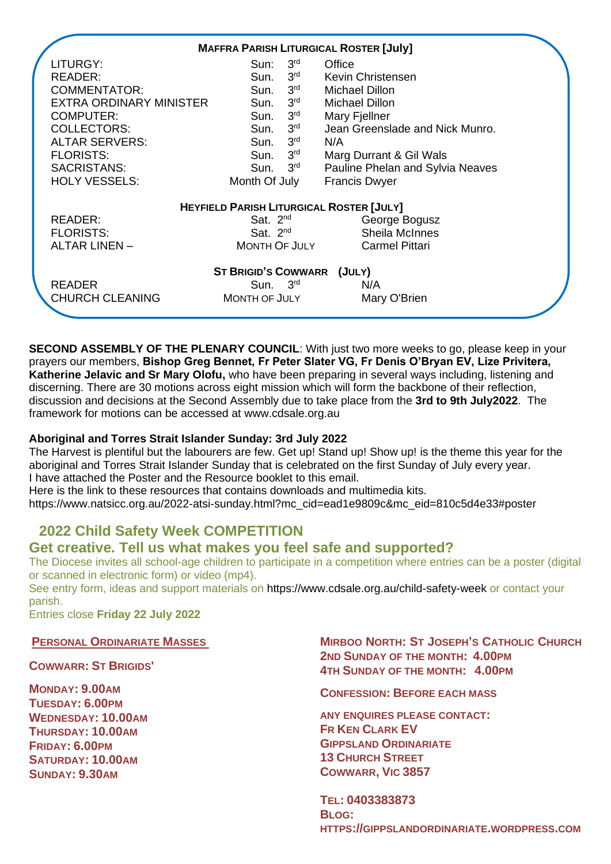|                         | <b>MAFFRA PARISH LITURGICAL ROSTER [July]</b>   |                                  |
|-------------------------|-------------------------------------------------|----------------------------------|
| LITURGY:                | Sun: $3rd$                                      | Office                           |
| READER:                 | $3^{\mathsf{rd}}$<br>Sun.                       | Kevin Christensen                |
| <b>COMMENTATOR:</b>     | 3 <sup>rd</sup><br>Sun.                         | <b>Michael Dillon</b>            |
| EXTRA ORDINARY MINISTER | 3 <sup>rd</sup><br>Sun.                         | <b>Michael Dillon</b>            |
| <b>COMPUTER:</b>        | $3^{\mathsf{rd}}$<br>Sun.                       | Mary Fjellner                    |
| <b>COLLECTORS:</b>      | 3 <sup>rd</sup><br>Sun.                         | Jean Greenslade and Nick Munro.  |
| <b>ALTAR SERVERS:</b>   | $3^{\text{rd}}$<br>Sun.                         | N/A                              |
| <b>FLORISTS:</b>        | Sun. 3rd                                        | Marg Durrant & Gil Wals          |
| SACRISTANS:             | Sun. $3rd$                                      | Pauline Phelan and Sylvia Neaves |
| <b>HOLY VESSELS:</b>    | Month Of July                                   | <b>Francis Dwyer</b>             |
|                         | <b>HEYFIELD PARISH LITURGICAL ROSTER [JULY]</b> |                                  |
| READER:                 | Sat. $2^{nd}$                                   | George Bogusz                    |
| <b>FLORISTS:</b>        | Sat. $2nd$                                      | <b>Sheila McInnes</b>            |
| <b>ALTAR LINEN -</b>    | MONTH OF JULY                                   | <b>Carmel Pittari</b>            |
|                         | ST BRIGID'S COWWARR (JULY)                      |                                  |
| <b>READER</b>           | Sun. $3rd$                                      | N/A                              |
| <b>CHURCH CLEANING</b>  | MONTH OF JULY                                   | Mary O'Brien                     |

**SECOND ASSEMBLY OF THE PLENARY COUNCIL:** With just two more weeks to go, please keep in your prayers our members, **Bishop Greg Bennet, Fr Peter Slater VG, Fr Denis O'Bryan EV, Lize Privitera, Katherine Jelavic and Sr Mary Olofu,** who have been preparing in several ways including, listening and discerning. There are 30 motions across eight mission which will form the backbone of their reflection, discussion and decisions at the Second Assembly due to take place from the **3rd to 9th July2022**. The framework for motions can be accessed at [www.cdsale.org.au](http://www.cdsale.org.au/)

# **Aboriginal and Torres Strait Islander Sunday: 3rd July 2022**

The Harvest is plentiful but the labourers are few. Get up! Stand up! Show up! is the theme this year for the aboriginal and Torres Strait Islander Sunday that is celebrated on the first Sunday of July every year. I have attached the Poster and the Resource booklet to this email.

Here is the link to these resources that contains downloads and multimedia kits.

[https://www.natsicc.org.au/2022-atsi-sunday.html?mc\\_cid=ead1e9809c&mc\\_eid=810c5d4e33#poster](https://www.natsicc.org.au/2022-atsi-sunday.html?mc_cid=ead1e9809c&mc_eid=810c5d4e33#poster)

# **2022 Child Safety Week COMPETITION**

# **Get creative. Tell us what makes you feel safe and supported?**

The Diocese invites all school-age children to participate in a competition where entries can be a poster (digital or scanned in electronic form) or video (mp4).

See entry form, ideas and support materials on<https://www.cdsale.org.au/child-safety-week> or contact your parish.

Entries close **Friday 22 July 2022**

# **PERSONAL ORDINARIATE MASSES**

# **COWWARR: ST BRIGIDS'**

**MONDAY: 9.00AM TUESDAY: 6.00PM WEDNESDAY: 10.00AM THURSDAY: 10.00AM FRIDAY: 6.00PM SATURDAY: 10.00AM SUNDAY: 9.30AM**

## **MIRBOO NORTH: ST JOSEPH'S CATHOLIC CHURCH 2ND SUNDAY OF THE MONTH: 4.00PM 4TH SUNDAY OF THE MONTH: 4.00PM**

**CONFESSION: BEFORE EACH MASS**

**ANY ENQUIRES PLEASE CONTACT: FR KEN CLARK EV GIPPSLAND ORDINARIATE 13 CHURCH STREET COWWARR, VIC 3857**

**TEL: 0403383873 BLOG: HTTPS://GIPPSLANDORDINARIATE.WORDPRESS.COM**